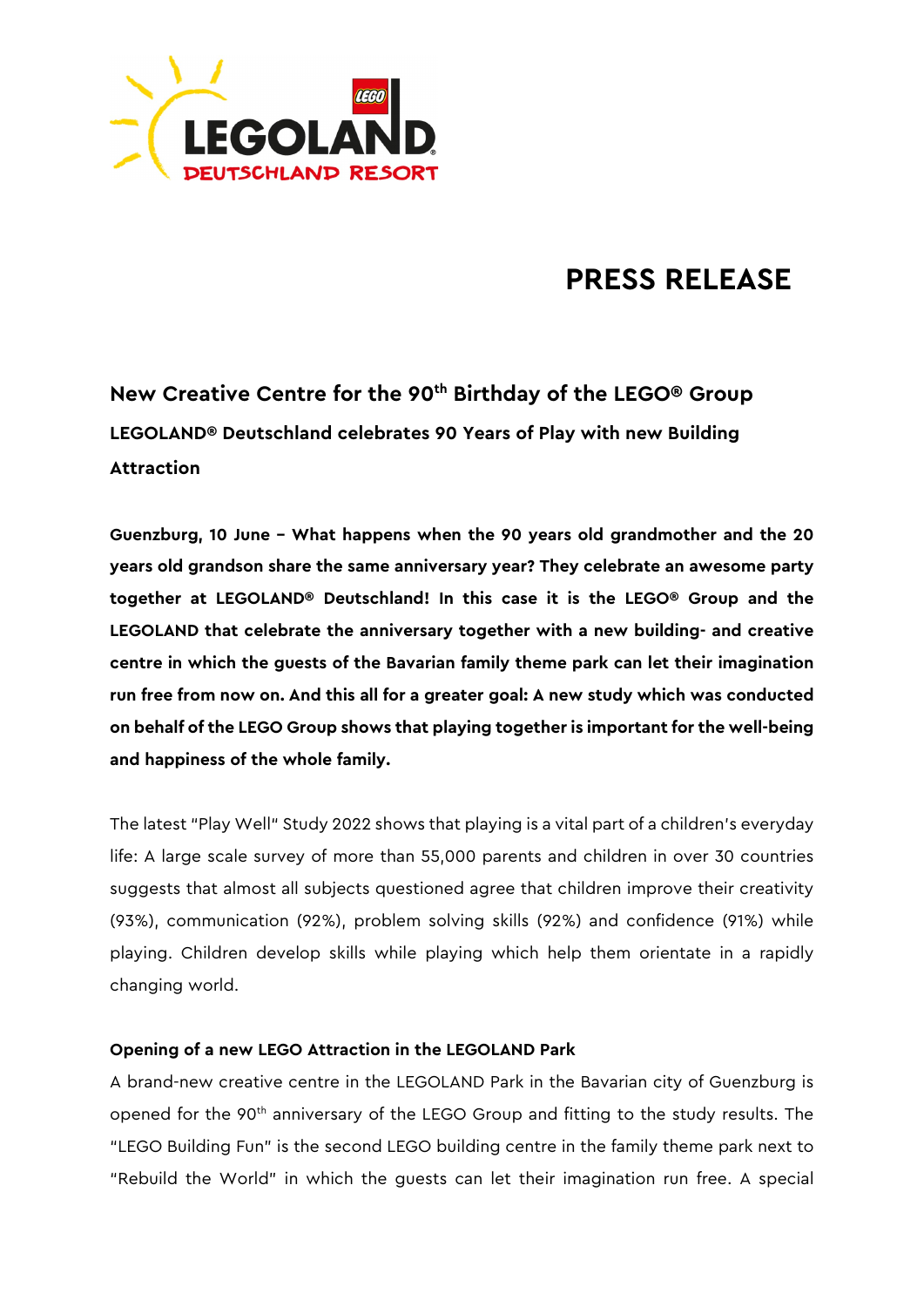

# **PRESS RELEASE**

**New Creative Centre for the 90th Birthday of the LEGO® Group LEGOLAND® Deutschland celebrates 90 Years of Play with new Building Attraction**

**Guenzburg, 10 June – What happens when the 90 years old grandmother and the 20 years old grandson share the same anniversary year? They celebrate an awesome party together at LEGOLAND® Deutschland! In this case it is the LEGO® Group and the LEGOLAND that celebrate the anniversary together with a new building- and creative centre in which the guests of the Bavarian family theme park can let their imagination run free from now on. And this all for a greater goal: A new study which was conducted on behalf of the LEGO Group shows that playing together is important for the well-being and happiness of the whole family.** 

The latest "Play Well" Study 2022 shows that playing is a vital part of a children's everyday life: A large scale survey of more than 55,000 parents and children in over 30 countries suggests that almost all subjects questioned agree that children improve their creativity (93%), communication (92%), problem solving skills (92%) and confidence (91%) while playing. Children develop skills while playing which help them orientate in a rapidly changing world.

## **Opening of a new LEGO Attraction in the LEGOLAND Park**

A brand-new creative centre in the LEGOLAND Park in the Bavarian city of Guenzburg is opened for the 90<sup>th</sup> anniversary of the LEGO Group and fitting to the study results. The "LEGO Building Fun" is the second LEGO building centre in the family theme park next to "Rebuild the World" in which the guests can let their imagination run free. A special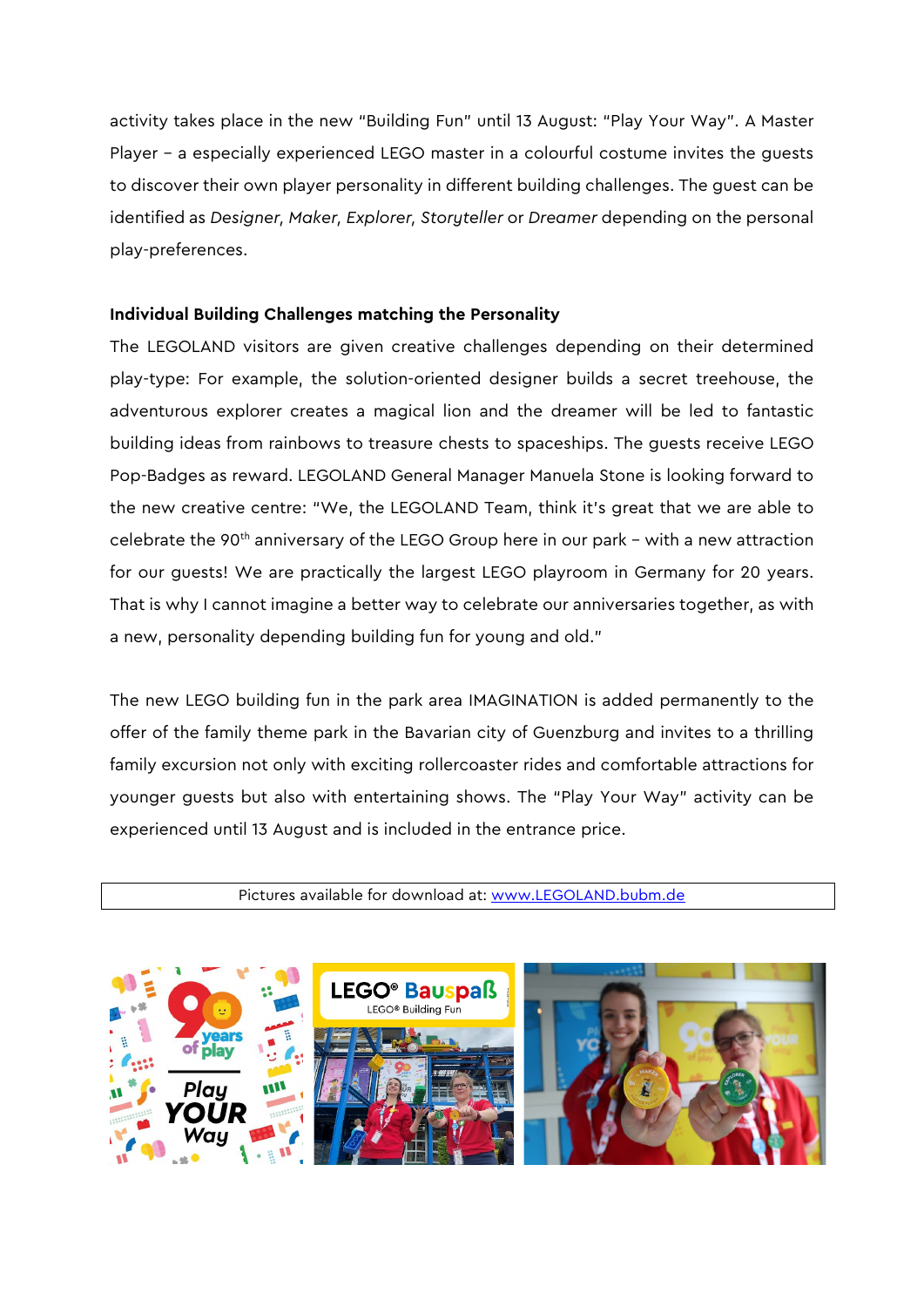activity takes place in the new "Building Fun" until 13 August: "Play Your Way". A Master Player - a especially experienced LEGO master in a colourful costume invites the guests to discover their own player personality in different building challenges. The guest can be identified as *Designer, Maker, Explorer, Storyteller* or *Dreamer* depending on the personal play-preferences.

## **Individual Building Challenges matching the Personality**

The LEGOLAND visitors are given creative challenges depending on their determined play-type: For example, the solution-oriented designer builds a secret treehouse, the adventurous explorer creates a magical lion and the dreamer will be led to fantastic building ideas from rainbows to treasure chests to spaceships. The guests receive LEGO Pop-Badges as reward. LEGOLAND General Manager Manuela Stone is looking forward to the new creative centre: "We, the LEGOLAND Team, think it's great that we are able to celebrate the 90<sup>th</sup> anniversary of the LEGO Group here in our park - with a new attraction for our guests! We are practically the largest LEGO playroom in Germany for 20 years. That is why I cannot imagine a better way to celebrate our anniversaries together, as with a new, personality depending building fun for young and old."

The new LEGO building fun in the park area IMAGINATION is added permanently to the offer of the family theme park in the Bavarian city of Guenzburg and invites to a thrilling family excursion not only with exciting rollercoaster rides and comfortable attractions for younger guests but also with entertaining shows. The "Play Your Way" activity can be experienced until 13 August and is included in the entrance price.

Pictures available for download at: [www.LEGOLAND.bubm.de](http://www.legoland.bubm.de/)